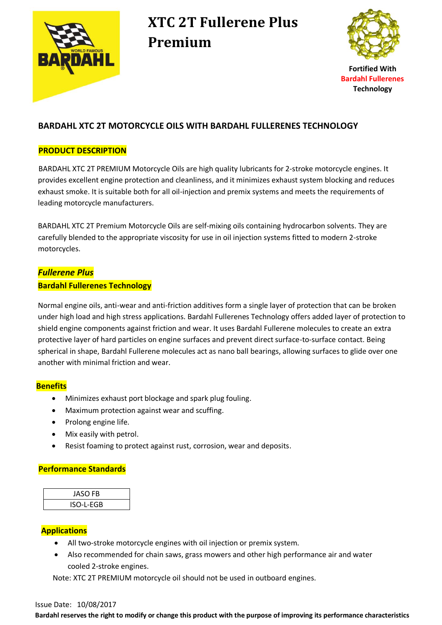

# **XTC 2T Fullerene Plus Premium**



**Fortified With Bardahl Fullerenes Technology**

### **BARDAHL XTC 2T MOTORCYCLE OILS WITH BARDAHL FULLERENES TECHNOLOGY**

#### **PRODUCT DESCRIPTION**

BARDAHL XTC 2T PREMIUM Motorcycle Oils are high quality lubricants for 2-stroke motorcycle engines. It provides excellent engine protection and cleanliness, and it minimizes exhaust system blocking and reduces exhaust smoke. It is suitable both for all oil-injection and premix systems and meets the requirements of leading motorcycle manufacturers.

 BARDAHL XTC 2T Premium Motorcycle Oils are self-mixing oils containing hydrocarbon solvents. They are carefully blended to the appropriate viscosity for use in oil injection systems fitted to modern 2-stroke motorcycles.

## *Fullerene Plus*  **Bardahl Fullerenes Technology**

 Normal engine oils, anti-wear and anti-friction additives form a single layer of protection that can be broken under high load and high stress applications. Bardahl Fullerenes Technology offers added layer of protection to shield engine components against friction and wear. It uses Bardahl Fullerene molecules to create an extra protective layer of hard particles on engine surfaces and prevent direct surface-to-surface contact. Being spherical in shape, Bardahl Fullerene molecules act as nano ball bearings, allowing surfaces to glide over one another with minimal friction and wear.

### **Benefits**

- Minimizes exhaust port blockage and spark plug fouling.
- Maximum protection against wear and scuffing.
- Prolong engine life.
- Mix easily with petrol.
- Resist foaming to protect against rust, corrosion, wear and deposits.

### **Performance Standards**

| <b>JASO FB</b> |  |
|----------------|--|
| ISO-L-EGB      |  |

### **Applications**

- All two-stroke motorcycle engines with oil injection or premix system.
- Also recommended for chain saws, grass mowers and other high performance air and water cooled 2-stroke engines.

Note: XTC 2T PREMIUM motorcycle oil should not be used in outboard engines.

#### Issue Date: 10/08/2017

**Bardahl reserves the right to modify or change this product with the purpose of improving its performance characteristics**